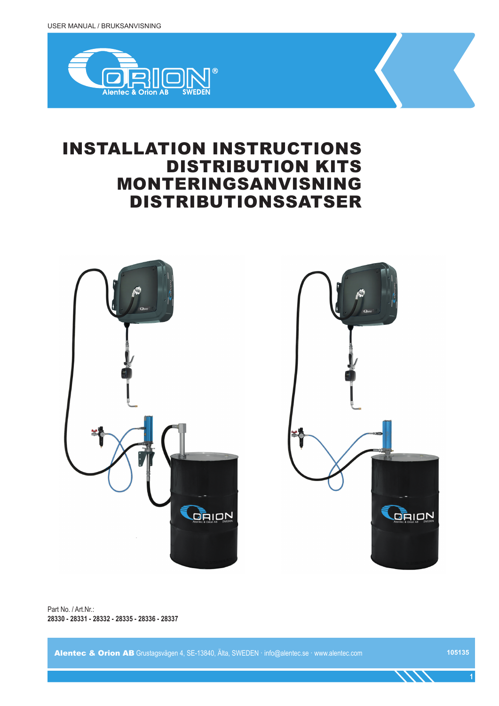

# INSTALLATION INSTRUCTIONS DISTRIBUTION KITS MONTERINGSANVISNING DISTRIBUTIONSSATSER



Part No. / Art.Nr.: **28330 - 28331 - 28332 - 28335 - 28336 - 28337**

Alentec & Orion AB Grustagsvägen 4, SE-13840, Älta, SWEDEN · info@alentec.se · www.alentec.com

**105135**

**1**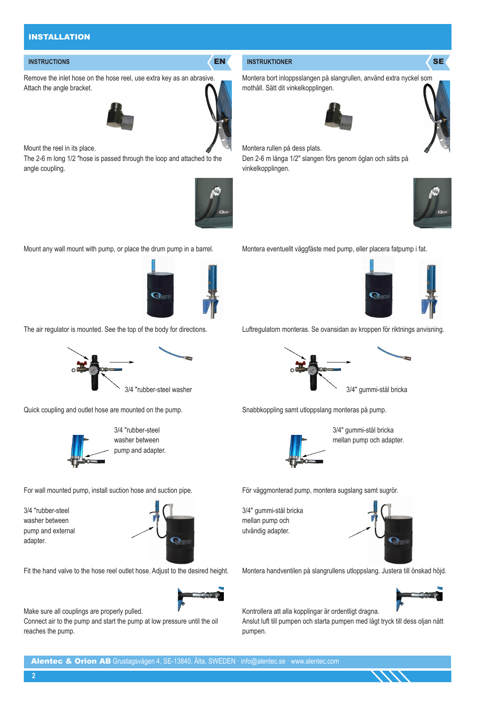### INSTALLATION

Remove the inlet hose on the hose reel, use extra key as an abrasive. Attach the angle bracket.



Mount the reel in its place.

The 2-6 m long 1/2 "hose is passed through the loop and attached to the angle coupling.



Mount any wall mount with pump, or place the drum pump in a barrel.



The air regulator is mounted. See the top of the body for directions.



Quick coupling and outlet hose are mounted on the pump.



 3/4 "rubber-steel washer between pump and adapter.

For wall mounted pump, install suction hose and suction pipe.

3/4 "rubber-steel washer between pump and external adapter.



Fit the hand valve to the hose reel outlet hose. Adjust to the desired height.



Make sure all couplings are properly pulled.

Connect air to the pump and start the pump at low pressure until the oil reaches the pump.

### **INSTRUCTIONS AND RESERVE EN INSTRUKTIONER SERVE EN INSTRUKTIONER SERVER SERVER SERVER SERVER SERVER SERVER SERVER SERVER SERVER SERVER SERVER SERVER SERVER SERVER SERVER SERVER SERVER SERVER SERVER SERVER SERVER SERVER SE**

Montera bort inloppsslangen på slangrullen, använd extra nyckel som mothåll. Sätt dit vinkelkopplingen.





Montera rullen på dess plats. Den 2-6 m långa 1/2" slangen förs genom öglan och sätts på

vinkelkopplingen.



Montera eventuellt väggfäste med pump, eller placera fatpump i fat.



Luftregulatorn monteras. Se ovansidan av kroppen för riktnings anvisning.



Snabbkoppling samt utloppslang monteras på pump.



 3/4" gummi-stål bricka mellan pump och adapter.

För väggmonterad pump, montera sugslang samt sugrör.

3/4" gummi-stål bricka mellan pump och utvändig adapter.



Montera handventilen på slangrullens utloppslang. Justera till önskad höjd.



Kontrollera att alla kopplingar är ordentligt dragna.

Anslut luft till pumpen och starta pumpen med lågt tryck till dess oljan nått pumpen.

**2**